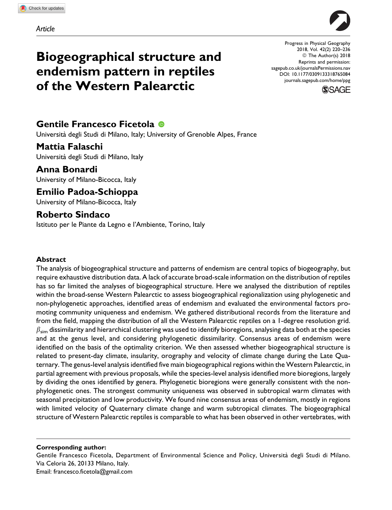

# Biogeographical structure and endemism pattern in reptiles of the Western Palearctic

Progress in Physical Geography 2018, Vol. 42(2) 220–236 © The Author(s) 2018 Reprints and permission: [sagepub.co.uk/journalsPermissions.nav](https://uk.sagepub.com/en-gb/journals-permissions) [DOI: 10.1177/0309133318765084](https://doi.org/10.1177/0309133318765084) [journals.sagepub.com/home/ppg](http://journals.sagepub.com/home/ppg)



# Gentile Francesco Ficetola ®

Universita` degli Studi di Milano, Italy; University of Grenoble Alpes, France

# Mattia Falaschi

Universita` degli Studi di Milano, Italy

### Anna Bonardi University of Milano-Bicocca, Italy

Emilio Padoa-Schioppa University of Milano-Bicocca, Italy

### Roberto Sindaco

Istituto per le Piante da Legno e l'Ambiente, Torino, Italy

#### Abstract

The analysis of biogeographical structure and patterns of endemism are central topics of biogeography, but require exhaustive distribution data. A lack of accurate broad-scale information on the distribution of reptiles has so far limited the analyses of biogeographical structure. Here we analysed the distribution of reptiles within the broad-sense Western Palearctic to assess biogeographical regionalization using phylogenetic and non-phylogenetic approaches, identified areas of endemism and evaluated the environmental factors promoting community uniqueness and endemism. We gathered distributional records from the literature and from the field, mapping the distribution of all the Western Palearctic reptiles on a 1-degree resolution grid.  $\beta_{\text{sim}}$  dissimilarity and hierarchical clustering was used to identify bioregions, analysing data both at the species and at the genus level, and considering phylogenetic dissimilarity. Consensus areas of endemism were identified on the basis of the optimality criterion. We then assessed whether biogeographical structure is related to present-day climate, insularity, orography and velocity of climate change during the Late Quaternary. The genus-level analysis identified five main biogeographical regions within the Western Palearctic, in partial agreement with previous proposals, while the species-level analysis identified more bioregions, largely by dividing the ones identified by genera. Phylogenetic bioregions were generally consistent with the nonphylogenetic ones. The strongest community uniqueness was observed in subtropical warm climates with seasonal precipitation and low productivity. We found nine consensus areas of endemism, mostly in regions with limited velocity of Quaternary climate change and warm subtropical climates. The biogeographical structure of Western Palearctic reptiles is comparable to what has been observed in other vertebrates, with

#### Corresponding author:

Gentile Francesco Ficetola, Department of Environmental Science and Policy, Universita` degli Studi di Milano. Via Celoria 26, 20133 Milano, Italy. Email: [francesco.ficetola@gmail.com](mailto:francesco.ficetola@gmail.com)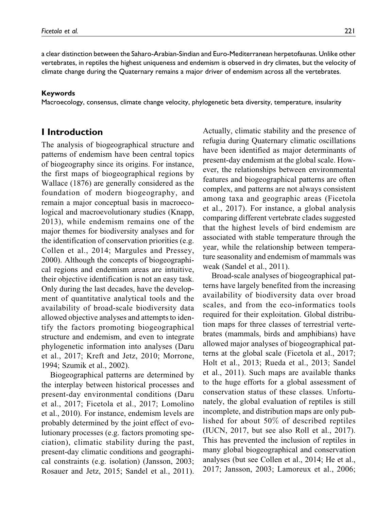a clear distinction between the Saharo-Arabian-Sindian and Euro-Mediterranean herpetofaunas. Unlike other vertebrates, in reptiles the highest uniqueness and endemism is observed in dry climates, but the velocity of climate change during the Quaternary remains a major driver of endemism across all the vertebrates.

#### Keywords

Macroecology, consensus, climate change velocity, phylogenetic beta diversity, temperature, insularity

### I Introduction

The analysis of biogeographical structure and patterns of endemism have been central topics of biogeography since its origins. For instance, the first maps of biogeographical regions by Wallace (1876) are generally considered as the foundation of modern biogeography, and remain a major conceptual basis in macroecological and macroevolutionary studies (Knapp, 2013), while endemism remains one of the major themes for biodiversity analyses and for the identification of conservation priorities (e.g. Collen et al., 2014; Margules and Pressey, 2000). Although the concepts of biogeographical regions and endemism areas are intuitive, their objective identification is not an easy task. Only during the last decades, have the development of quantitative analytical tools and the availability of broad-scale biodiversity data allowed objective analyses and attempts to identify the factors promoting biogeographical structure and endemism, and even to integrate phylogenetic information into analyses (Daru et al., 2017; Kreft and Jetz, 2010; Morrone, 1994; Szumik et al., 2002).

Biogeographical patterns are determined by the interplay between historical processes and present-day environmental conditions (Daru et al., 2017; Ficetola et al., 2017; Lomolino et al., 2010). For instance, endemism levels are probably determined by the joint effect of evolutionary processes (e.g. factors promoting speciation), climatic stability during the past, present-day climatic conditions and geographical constraints (e.g. isolation) (Jansson, 2003; Rosauer and Jetz, 2015; Sandel et al., 2011). Actually, climatic stability and the presence of refugia during Quaternary climatic oscillations have been identified as major determinants of present-day endemism at the global scale. However, the relationships between environmental features and biogeographical patterns are often complex, and patterns are not always consistent among taxa and geographic areas (Ficetola et al., 2017). For instance, a global analysis comparing different vertebrate clades suggested that the highest levels of bird endemism are associated with stable temperature through the year, while the relationship between temperature seasonality and endemism of mammals was weak (Sandel et al., 2011).

Broad-scale analyses of biogeographical patterns have largely benefited from the increasing availability of biodiversity data over broad scales, and from the eco-informatics tools required for their exploitation. Global distribution maps for three classes of terrestrial vertebrates (mammals, birds and amphibians) have allowed major analyses of biogeographical patterns at the global scale (Ficetola et al., 2017; Holt et al., 2013; Rueda et al., 2013; Sandel et al., 2011). Such maps are available thanks to the huge efforts for a global assessment of conservation status of these classes. Unfortunately, the global evaluation of reptiles is still incomplete, and distribution maps are only published for about 50% of described reptiles (IUCN, 2017, but see also Roll et al., 2017). This has prevented the inclusion of reptiles in many global biogeographical and conservation analyses (but see Collen et al., 2014; He et al., 2017; Jansson, 2003; Lamoreux et al., 2006;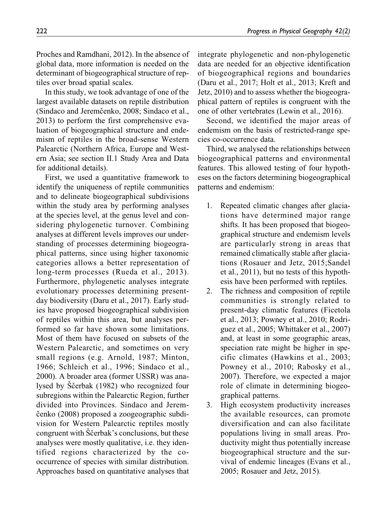Proches and Ramdhani, 2012). In the absence of global data, more information is needed on the determinant of biogeographical structure of reptiles over broad spatial scales.

In this study, we took advantage of one of the largest available datasets on reptile distribution (Sindaco and Jeremčenko, 2008; Sindaco et al., 2013) to perform the first comprehensive evaluation of biogeographical structure and endemism of reptiles in the broad-sense Western Palearctic (Northern Africa, Europe and Western Asia; see section II.1 Study Area and Data for additional details).

First, we used a quantitative framework to identify the uniqueness of reptile communities and to delineate biogeographical subdivisions within the study area by performing analyses at the species level, at the genus level and considering phylogenetic turnover. Combining analyses at different levels improves our understanding of processes determining biogeographical patterns, since using higher taxonomic categories allows a better representation of long-term processes (Rueda et al., 2013). Furthermore, phylogenetic analyses integrate evolutionary processes determining presentday biodiversity (Daru et al., 2017). Early studies have proposed biogeographical subdivision of reptiles within this area, but analyses performed so far have shown some limitations. Most of them have focused on subsets of the Western Palearctic, and sometimes on very small regions (e.g. Arnold, 1987; Minton, 1966; Schleich et al., 1996; Sindaco et al., 2000). A broader area (former USSR) was analysed by Sčerbak (1982) who recognized four subregions within the Palearctic Region, further divided into Provinces. Sindaco and Jeremčenko (2008) proposed a zoogeographic subdivision for Western Palearctic reptiles mostly congruent with Sc<sup>\*</sup>erbak's conclusions, but these analyses were mostly qualitative, i.e. they identified regions characterized by the cooccurrence of species with similar distribution. Approaches based on quantitative analyses that

integrate phylogenetic and non-phylogenetic data are needed for an objective identification of biogeographical regions and boundaries (Daru et al., 2017; Holt et al., 2013; Kreft and Jetz, 2010) and to assess whether the biogeographical pattern of reptiles is congruent with the one of other vertebrates (Lewin et al., 2016).

Second, we identified the major areas of endemism on the basis of restricted-range species co-occurrence data.

Third, we analysed the relationships between biogeographical patterns and environmental features. This allowed testing of four hypotheses on the factors determining biogeographical patterns and endemism:

- 1. Repeated climatic changes after glaciations have determined major range shifts. It has been proposed that biogeographical structure and endemism levels are particularly strong in areas that remained climatically stable after glaciations (Rosauer and Jetz, 2015;Sandel et al., 2011), but no tests of this hypothesis have been performed with reptiles.
- 2. The richness and composition of reptile communities is strongly related to present-day climatic features (Ficetola et al., 2013; Powney et al., 2010; Rodriguez et al., 2005; Whittaker et al., 2007) and, at least in some geographic areas, speciation rate might be higher in specific climates (Hawkins et al., 2003; Powney et al., 2010; Rabosky et al., 2007). Therefore, we expected a major role of climate in determining biogeographical patterns.
- 3. High ecosystem productivity increases the available resources, can promote diversification and can also facilitate populations living in small areas. Productivity might thus potentially increase biogeographical structure and the survival of endemic lineages (Evans et al., 2005; Rosauer and Jetz, 2015).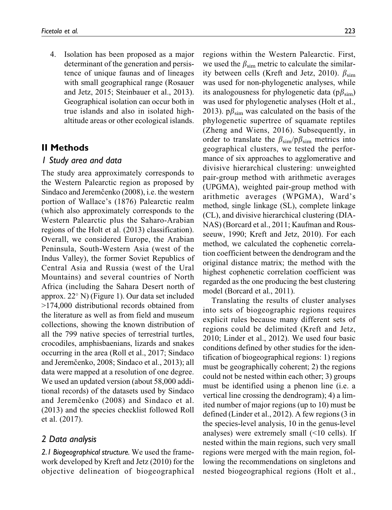4. Isolation has been proposed as a major determinant of the generation and persistence of unique faunas and of lineages with small geographical range (Rosauer and Jetz, 2015; Steinbauer et al., 2013). Geographical isolation can occur both in true islands and also in isolated highaltitude areas or other ecological islands.

### II Methods

### 1 Study area and data

The study area approximately corresponds to the Western Palearctic region as proposed by Sindaco and Jeremčenko (2008), *i.e.* the western portion of Wallace's (1876) Palearctic realm (which also approximately corresponds to the Western Palearctic plus the Saharo-Arabian regions of the Holt et al. (2013) classification). Overall, we considered Europe, the Arabian Peninsula, South-Western Asia (west of the Indus Valley), the former Soviet Republics of Central Asia and Russia (west of the Ural Mountains) and several countries of North Africa (including the Sahara Desert north of approx. 22° N) (Figure 1). Our data set included >174,000 distributional records obtained from the literature as well as from field and museum collections, showing the known distribution of all the 799 native species of terrestrial turtles, crocodiles, amphisbaenians, lizards and snakes occurring in the area (Roll et al., 2017; Sindaco and Jeremčenko, 2008; Sindaco et al., 2013); all data were mapped at a resolution of one degree. We used an updated version (about 58,000 additional records) of the datasets used by Sindaco and Jeremčenko (2008) and Sindaco et al. (2013) and the species checklist followed Roll et al. (2017).

### 2 Data analysis

2.1 Biogeographical structure. We used the framework developed by Kreft and Jetz (2010) for the objective delineation of biogeographical regions within the Western Palearctic. First, we used the  $\beta_{sim}$  metric to calculate the similarity between cells (Kreft and Jetz, 2010).  $\beta_{sim}$ was used for non-phylogenetic analyses, while its analogousness for phylogenetic data ( $p\beta_{sim}$ ) was used for phylogenetic analyses (Holt et al., 2013).  $p\beta_{sim}$  was calculated on the basis of the phylogenetic supertree of squamate reptiles (Zheng and Wiens, 2016). Subsequently, in order to translate the  $\beta_{\text{sim}}/p\beta_{\text{sim}}$  metrics into geographical clusters, we tested the performance of six approaches to agglomerative and divisive hierarchical clustering: unweighted pair-group method with arithmetic averages (UPGMA), weighted pair-group method with arithmetic averages (WPGMA), Ward's method, single linkage (SL), complete linkage (CL), and divisive hierarchical clustering (DIA-NAS) (Borcard et al., 2011; Kaufman and Rousseeuw, 1990; Kreft and Jetz, 2010). For each method, we calculated the cophenetic correlation coefficient between the dendrogram and the original distance matrix; the method with the highest cophenetic correlation coefficient was regarded as the one producing the best clustering model (Borcard et al., 2011).

Translating the results of cluster analyses into sets of biogeographic regions requires explicit rules because many different sets of regions could be delimited (Kreft and Jetz, 2010; Linder et al., 2012). We used four basic conditions defined by other studies for the identification of biogeographical regions: 1) regions must be geographically coherent; 2) the regions could not be nested within each other; 3) groups must be identified using a phenon line (i.e. a vertical line crossing the dendrogram); 4) a limited number of major regions (up to 10) must be defined (Linder et al., 2012). A few regions (3 in the species-level analysis, 10 in the genus-level analyses) were extremely small (<10 cells). If nested within the main regions, such very small regions were merged with the main region, following the recommendations on singletons and nested biogeographical regions (Holt et al.,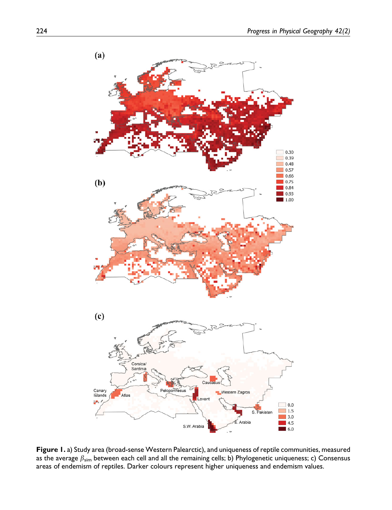

Figure 1. a) Study area (broad-sense Western Palearctic), and uniqueness of reptile communities, measured as the average  $\beta_{sim}$  between each cell and all the remaining cells; b) Phylogenetic uniqueness; c) Consensus areas of endemism of reptiles. Darker colours represent higher uniqueness and endemism values.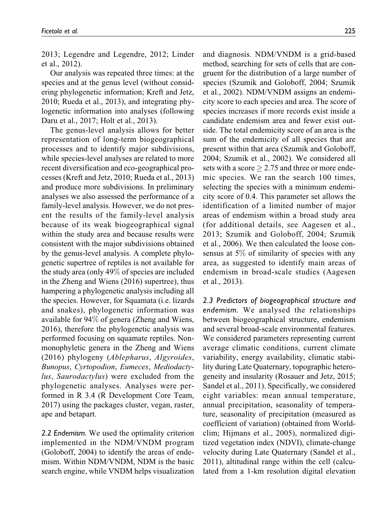2013; Legendre and Legendre, 2012; Linder et al., 2012).

Our analysis was repeated three times: at the species and at the genus level (without considering phylogenetic information; Kreft and Jetz, 2010; Rueda et al., 2013), and integrating phylogenetic information into analyses (following Daru et al., 2017; Holt et al., 2013).

The genus-level analysis allows for better representation of long-term biogeographical processes and to identify major subdivisions, while species-level analyses are related to more recent diversification and eco-geographical processes (Kreft and Jetz, 2010; Rueda et al., 2013) and produce more subdivisions. In preliminary analyses we also assessed the performance of a family-level analysis. However, we do not present the results of the family-level analysis because of its weak biogeographical signal within the study area and because results were consistent with the major subdivisions obtained by the genus-level analysis. A complete phylogenetic supertree of reptiles is not available for the study area (only 49% of species are included in the Zheng and Wiens (2016) supertree), thus hampering a phylogenetic analysis including all the species. However, for Squamata (i.e. lizards and snakes), phylogenetic information was available for 94% of genera (Zheng and Wiens, 2016), therefore the phylogenetic analysis was performed focusing on squamate reptiles. Nonmonophyletic genera in the Zheng and Wiens (2016) phylogeny (Ablepharus, Algyroides, Bunopus, Cyrtopodion, Eumeces, Mediodactylus, Saurodactylus) were excluded from the phylogenetic analyses. Analyses were performed in R 3.4 (R Development Core Team, 2017) using the packages cluster, vegan, raster, ape and betapart.

2.2 Endemism. We used the optimality criterion implemented in the NDM/VNDM program (Goloboff, 2004) to identify the areas of endemism. Within NDM/VNDM, NDM is the basic search engine, while VNDM helps visualization and diagnosis. NDM/VNDM is a grid-based method, searching for sets of cells that are congruent for the distribution of a large number of species (Szumik and Goloboff, 2004; Szumik et al., 2002). NDM/VNDM assigns an endemicity score to each species and area. The score of species increases if more records exist inside a candidate endemism area and fewer exist outside. The total endemicity score of an area is the sum of the endemicity of all species that are present within that area (Szumik and Goloboff, 2004; Szumik et al., 2002). We considered all sets with a score  $> 2.75$  and three or more endemic species. We ran the search 100 times, selecting the species with a minimum endemicity score of 0.4. This parameter set allows the identification of a limited number of major areas of endemism within a broad study area (for additional details, see Aagesen et al., 2013; Szumik and Goloboff, 2004; Szumik et al., 2006). We then calculated the loose consensus at 5% of similarity of species with any area, as suggested to identify main areas of endemism in broad-scale studies (Aagesen et al., 2013).

2.3 Predictors of biogeographical structure and endemism. We analysed the relationships between biogeographical structure, endemism and several broad-scale environmental features. We considered parameters representing current average climatic conditions, current climate variability, energy availability, climatic stability during Late Quaternary, topographic heterogeneity and insularity (Rosauer and Jetz, 2015; Sandel et al., 2011). Specifically, we considered eight variables: mean annual temperature, annual precipitation, seasonality of temperature, seasonality of precipitation (measured as coefficient of variation) (obtained from Worldclim; Hijmans et al., 2005), normalized digitized vegetation index (NDVI), climate-change velocity during Late Quaternary (Sandel et al., 2011), altitudinal range within the cell (calculated from a 1-km resolution digital elevation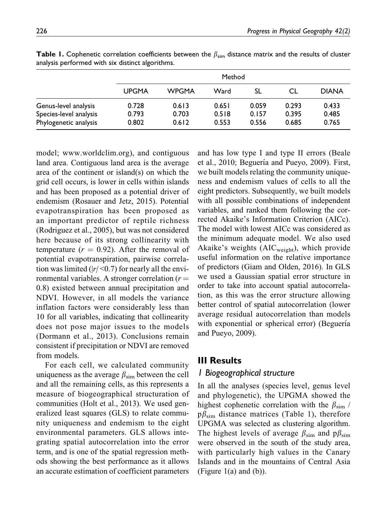|                        | Method |              |       |       |       |              |  |  |
|------------------------|--------|--------------|-------|-------|-------|--------------|--|--|
|                        | UPGMA  | <b>WPGMA</b> | Ward  | SL    | CL    | <b>DIANA</b> |  |  |
| Genus-level analysis   | 0.728  | 0.613        | 0.651 | 0.059 | 0.293 | 0.433        |  |  |
| Species-level analysis | 0.793  | 0.703        | 0.518 | 0.157 | 0.395 | 0.485        |  |  |
| Phylogenetic analysis  | 0.802  | 0.612        | 0.553 | 0.556 | 0.685 | 0.765        |  |  |

**Table 1.** Cophenetic correlation coefficients between the  $\beta_{sim}$  distance matrix and the results of cluster analysis performed with six distinct algorithms.

model; www.worldclim.org), and contiguous land area. Contiguous land area is the average area of the continent or island(s) on which the grid cell occurs, is lower in cells within islands and has been proposed as a potential driver of endemism (Rosauer and Jetz, 2015). Potential evapotranspiration has been proposed as an important predictor of reptile richness (Rodriguez et al., 2005), but was not considered here because of its strong collinearity with temperature  $(r = 0.92)$ . After the removal of potential evapotranspiration, pairwise correlation was limited ( $|r|$  < 0.7) for nearly all the environmental variables. A stronger correlation  $(r =$ 0.8) existed between annual precipitation and NDVI. However, in all models the variance inflation factors were considerably less than 10 for all variables, indicating that collinearity does not pose major issues to the models (Dormann et al., 2013). Conclusions remain consistent if precipitation or NDVI are removed from models.

For each cell, we calculated community uniqueness as the average  $\beta_{\text{sim}}$  between the cell and all the remaining cells, as this represents a measure of biogeographical structuration of communities (Holt et al., 2013). We used generalized least squares (GLS) to relate community uniqueness and endemism to the eight environmental parameters. GLS allows integrating spatial autocorrelation into the error term, and is one of the spatial regression methods showing the best performance as it allows an accurate estimation of coefficient parameters

and has low type I and type II errors (Beale et al., 2010; Beguería and Pueyo, 2009). First, we built models relating the community uniqueness and endemism values of cells to all the eight predictors. Subsequently, we built models with all possible combinations of independent variables, and ranked them following the corrected Akaike's Information Criterion (AICc). The model with lowest AICc was considered as the minimum adequate model. We also used Akaike's weights  $(AIC_{weight})$ , which provide useful information on the relative importance of predictors (Giam and Olden, 2016). In GLS we used a Gaussian spatial error structure in order to take into account spatial autocorrelation, as this was the error structure allowing better control of spatial autocorrelation (lower average residual autocorrelation than models with exponential or spherical error) (Beguería and Pueyo, 2009).

### III Results

# 1 Biogeographical structure

In all the analyses (species level, genus level and phylogenetic), the UPGMA showed the highest cophenetic correlation with the  $\beta_{\text{sim}}$  /  $p_{\text{sim}}$  distance matrices (Table 1), therefore UPGMA was selected as clustering algorithm. The highest levels of average  $\beta_{sim}$  and  $p\beta_{sim}$ were observed in the south of the study area, with particularly high values in the Canary Islands and in the mountains of Central Asia (Figure  $1(a)$  and  $(b)$ ).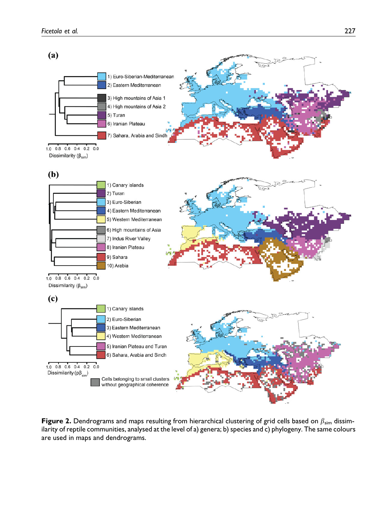

Figure 2. Dendrograms and maps resulting from hierarchical clustering of grid cells based on  $\beta_{sim}$  dissimilarity of reptile communities, analysed at the level of a) genera; b) species and c) phylogeny. The same colours are used in maps and dendrograms.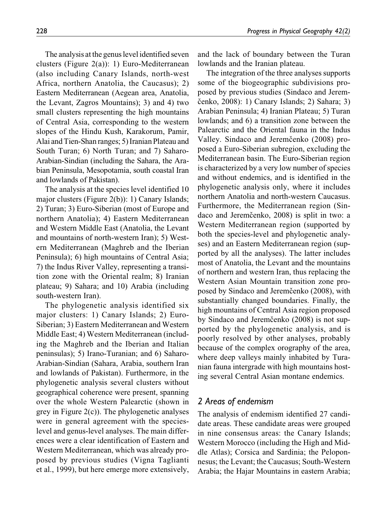The analysis at the genus level identified seven clusters (Figure 2(a)): 1) Euro-Mediterranean (also including Canary Islands, north-west Africa, northern Anatolia, the Caucasus); 2) Eastern Mediterranean (Aegean area, Anatolia, the Levant, Zagros Mountains); 3) and 4) two small clusters representing the high mountains of Central Asia, corresponding to the western slopes of the Hindu Kush, Karakorum, Pamir, Alai and Tien-Shan ranges; 5) Iranian Plateau and South Turan; 6) North Turan; and 7) Saharo-Arabian-Sindian (including the Sahara, the Arabian Peninsula, Mesopotamia, south coastal Iran and lowlands of Pakistan).

The analysis at the species level identified 10 major clusters (Figure 2(b)): 1) Canary Islands; 2) Turan; 3) Euro-Siberian (most of Europe and northern Anatolia); 4) Eastern Mediterranean and Western Middle East (Anatolia, the Levant and mountains of north-western Iran); 5) Western Mediterranean (Maghreb and the Iberian Peninsula); 6) high mountains of Central Asia; 7) the Indus River Valley, representing a transition zone with the Oriental realm; 8) Iranian plateau; 9) Sahara; and 10) Arabia (including south-western Iran).

The phylogenetic analysis identified six major clusters: 1) Canary Islands; 2) Euro-Siberian; 3) Eastern Mediterranean and Western Middle East; 4) Western Mediterranean (including the Maghreb and the Iberian and Italian peninsulas); 5) Irano-Turanian; and 6) Saharo-Arabian-Sindian (Sahara, Arabia, southern Iran and lowlands of Pakistan). Furthermore, in the phylogenetic analysis several clusters without geographical coherence were present, spanning over the whole Western Palearctic (shown in grey in Figure 2(c)). The phylogenetic analyses were in general agreement with the specieslevel and genus-level analyses. The main differences were a clear identification of Eastern and Western Mediterranean, which was already proposed by previous studies (Vigna Taglianti et al., 1999), but here emerge more extensively,

and the lack of boundary between the Turan lowlands and the Iranian plateau.

The integration of the three analyses supports some of the biogeographic subdivisions proposed by previous studies (Sindaco and Jerem- $\text{čenko}, 2008$ : 1) Canary Islands; 2) Sahara; 3) Arabian Peninsula; 4) Iranian Plateau; 5) Turan lowlands; and 6) a transition zone between the Palearctic and the Oriental fauna in the Indus Valley. Sindaco and Jeremčenko (2008) proposed a Euro-Siberian subregion, excluding the Mediterranean basin. The Euro-Siberian region is characterized by a very low number of species and without endemics, and is identified in the phylogenetic analysis only, where it includes northern Anatolia and north-western Caucasus. Furthermore, the Mediterranean region (Sindaco and Jeremčenko, 2008) is split in two: a Western Mediterranean region (supported by both the species-level and phylogenetic analyses) and an Eastern Mediterranean region (supported by all the analyses). The latter includes most of Anatolia, the Levant and the mountains of northern and western Iran, thus replacing the Western Asian Mountain transition zone proposed by Sindaco and Jeremčenko (2008), with substantially changed boundaries. Finally, the high mountains of Central Asia region proposed by Sindaco and Jeremčenko (2008) is not supported by the phylogenetic analysis, and is poorly resolved by other analyses, probably because of the complex orography of the area, where deep valleys mainly inhabited by Turanian fauna intergrade with high mountains hosting several Central Asian montane endemics.

# 2 Areas of endemism

The analysis of endemism identified 27 candidate areas. These candidate areas were grouped in nine consensus areas: the Canary Islands; Western Morocco (including the High and Middle Atlas); Corsica and Sardinia; the Peloponnesus; the Levant; the Caucasus; South-Western Arabia; the Hajar Mountains in eastern Arabia;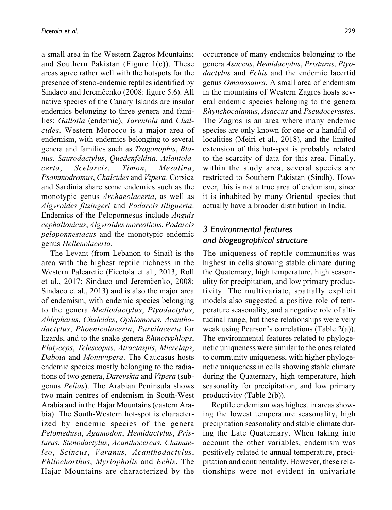a small area in the Western Zagros Mountains; and Southern Pakistan (Figure  $1(c)$ ). These areas agree rather well with the hotspots for the presence of steno-endemic reptiles identified by Sindaco and Jeremčenko (2008: figure 5.6). All native species of the Canary Islands are insular endemics belonging to three genera and families: Gallotia (endemic), Tarentola and Chalcides. Western Morocco is a major area of endemism, with endemics belonging to several genera and families such as Trogonophis, Blanus, Saurodactylus, Quedenfeldtia, Atlantolacerta, Scelarcis, Timon, Mesalina, Psammodromus, Chalcides and Vipera. Corsica and Sardinia share some endemics such as the monotypic genus Archaeolacerta, as well as Algyroides fitzingeri and Podarcis tiliguerta. Endemics of the Peloponnesus include Anguis cephallonicus, Algyroides moreoticus, Podarcis peloponnesiacus and the monotypic endemic genus Hellenolacerta.

The Levant (from Lebanon to Sinai) is the area with the highest reptile richness in the Western Palearctic (Ficetola et al., 2013; Roll et al., 2017; Sindaco and Jeremčenko, 2008; Sindaco et al., 2013) and is also the major area of endemism, with endemic species belonging to the genera Mediodactylus, Ptyodactylus, Ablepharus, Chalcides, Ophiomorus, Acanthodactylus, Phoenicolacerta, Parvilacerta for lizards, and to the snake genera Rhinotyphlops, Platyceps, Telescopus, Atractaspis, Micrelaps, Daboia and Montivipera. The Caucasus hosts endemic species mostly belonging to the radiations of two genera, Darevskia and Vipera (subgenus Pelias). The Arabian Peninsula shows two main centres of endemism in South-West Arabia and in the Hajar Mountains (eastern Arabia). The South-Western hot-spot is characterized by endemic species of the genera Pelomedusa, Agamodon, Hemidactylus, Pristurus, Stenodactylus, Acanthocercus, Chamaeleo, Scincus, Varanus, Acanthodactylus, Philochorthus, Myriopholis and Echis. The Hajar Mountains are characterized by the occurrence of many endemics belonging to the genera Asaccus, Hemidactylus, Pristurus, Ptyodactylus and Echis and the endemic lacertid genus Omanosaura. A small area of endemism in the mountains of Western Zagros hosts several endemic species belonging to the genera Rhynchocalamus, Asaccus and Pseudocerastes. The Zagros is an area where many endemic species are only known for one or a handful of localities (Meiri et al., 2018), and the limited extension of this hot-spot is probably related to the scarcity of data for this area. Finally, within the study area, several species are restricted to Southern Pakistan (Sindh). However, this is not a true area of endemism, since it is inhabited by many Oriental species that actually have a broader distribution in India.

# 3 Environmental features and biogeographical structure

The uniqueness of reptile communities was highest in cells showing stable climate during the Quaternary, high temperature, high seasonality for precipitation, and low primary productivity. The multivariate, spatially explicit models also suggested a positive role of temperature seasonality, and a negative role of altitudinal range, but these relationships were very weak using Pearson's correlations (Table 2(a)). The environmental features related to phylogenetic uniqueness were similar to the ones related to community uniqueness, with higher phylogenetic uniqueness in cells showing stable climate during the Quaternary, high temperature, high seasonality for precipitation, and low primary productivity (Table 2(b)).

Reptile endemism was highest in areas showing the lowest temperature seasonality, high precipitation seasonality and stable climate during the Late Quaternary. When taking into account the other variables, endemism was positively related to annual temperature, precipitation and continentality. However, these relationships were not evident in univariate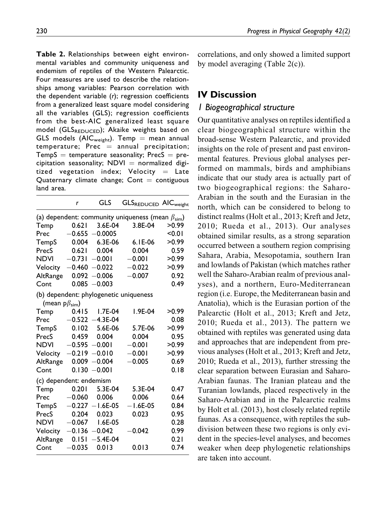Table 2. Relationships between eight environmental variables and community uniqueness and endemism of reptiles of the Western Palearctic. Four measures are used to describe the relationships among variables: Pearson correlation with the dependent variable (r); regression coefficients from a generalized least square model considering all the variables (GLS); regression coefficients from the best-AIC generalized least square model (GLSREDUCED); Akaike weights based on GLS models (AIC<sub>weight</sub>). Temp  $=$  mean annual  $temperature;$  Prec  $=$  annual precipitation; TempS = temperature seasonality; PrecS = precipitation seasonality;  $NDVI = normalized$  digitized vegetation index; Velocity  $=$  Late Quaternary climate change; Cont  $=$  contiguous land area.

|                                                           | r        | GLS                | GLS <sub>REDUCED</sub> AIC <sub>weight</sub> |        |  |  |  |  |  |
|-----------------------------------------------------------|----------|--------------------|----------------------------------------------|--------|--|--|--|--|--|
| (a) dependent: community uniqueness (mean $\beta_{sim}$ ) |          |                    |                                              |        |  |  |  |  |  |
| Temp                                                      | 0.621    | 3.6E-04            | 3.8E-04                                      | >0.99  |  |  |  |  |  |
| Prec                                                      |          | $-0.655 - 0.0005$  |                                              | < 0.01 |  |  |  |  |  |
| TempS                                                     | 0.004    | 6.3E-06            | $6.1E-06$                                    | >0.99  |  |  |  |  |  |
| PrecS                                                     | 0.621    | 0.004              | 0.004                                        | 0.59   |  |  |  |  |  |
| <b>NDVI</b>                                               | $-0.731$ | $-0.001$           | $-0.001$                                     | >0.99  |  |  |  |  |  |
| Velocity                                                  | $-0.460$ | $-0.022$           | $-0.022$                                     | >0.99  |  |  |  |  |  |
| AltRange                                                  | 0.092    | $-0.006$           | $-0.007$                                     | 0.92   |  |  |  |  |  |
| Cont                                                      | 0.085    | $-0.003$           |                                              | 0.49   |  |  |  |  |  |
| (b) dependent: phylogenetic uniqueness                    |          |                    |                                              |        |  |  |  |  |  |
| (mean $p\beta_{sim}$ )                                    |          |                    |                                              |        |  |  |  |  |  |
| Temp                                                      | 0.415    | $I.7E-04$          | I.9E-04                                      | >0.99  |  |  |  |  |  |
| Prec                                                      | $-0.522$ | $-4.3E-04$         |                                              | 0.08   |  |  |  |  |  |
| TempS                                                     | 0.102    | 5.6E-06            | 5.7E-06                                      | >0.99  |  |  |  |  |  |
| PrecS                                                     | 0.459    | 0.004              | 0.004                                        | 0.95   |  |  |  |  |  |
| <b>NDVI</b>                                               | $-0.595$ | $-0.001$           | $-0.001$                                     | >0.99  |  |  |  |  |  |
| Velocity                                                  | $-0.219$ | $-0.010$           | $-0.001$                                     | >0.99  |  |  |  |  |  |
| AltRange                                                  | 0.009    | $-0.004$           | $-0.005$                                     | 0.69   |  |  |  |  |  |
| Cont                                                      |          | $0.130 - 0.001$    |                                              | 0.18   |  |  |  |  |  |
| (c) dependent: endemism                                   |          |                    |                                              |        |  |  |  |  |  |
| Temp                                                      | 0.201    | 5.3E-04            | 5.3E-04                                      | 0.47   |  |  |  |  |  |
| Prec                                                      | $-0.060$ | 0.006              | 0.006                                        | 0.64   |  |  |  |  |  |
| TempS                                                     |          | $-0.227 - 1.6E-05$ | $-1.6E-05$                                   | 0.84   |  |  |  |  |  |
| PrecS                                                     | 0.204    | 0.023              | 0.023                                        | 0.95   |  |  |  |  |  |
| <b>NDVI</b>                                               | $-0.067$ | $1.6E-05$          |                                              | 0.28   |  |  |  |  |  |
| Velocity                                                  |          | $-0.136 - 0.042$   | $-0.042$                                     | 0.99   |  |  |  |  |  |
| AltRange                                                  | 0.151    | $-5.4E-04$         |                                              | 0.21   |  |  |  |  |  |
| Cont                                                      | 0.035    | 0.013              | 0.013                                        | 0.74   |  |  |  |  |  |
|                                                           |          |                    |                                              |        |  |  |  |  |  |

correlations, and only showed a limited support by model averaging (Table 2(c)).

# IV Discussion

### 1 Biogeographical structure

Our quantitative analyses on reptiles identified a clear biogeographical structure within the broad-sense Western Palearctic, and provided insights on the role of present and past environmental features. Previous global analyses performed on mammals, birds and amphibians indicate that our study area is actually part of two biogeographical regions: the Saharo-Arabian in the south and the Eurasian in the north, which can be considered to belong to distinct realms (Holt et al., 2013; Kreft and Jetz, 2010; Rueda et al., 2013). Our analyses obtained similar results, as a strong separation occurred between a southern region comprising Sahara, Arabia, Mesopotamia, southern Iran and lowlands of Pakistan (which matches rather well the Saharo-Arabian realm of previous analyses), and a northern, Euro-Mediterranean region (i.e. Europe, the Mediterranean basin and Anatolia), which is the Eurasian portion of the Palearctic (Holt et al., 2013; Kreft and Jetz, 2010; Rueda et al., 2013). The pattern we obtained with reptiles was generated using data and approaches that are independent from previous analyses (Holt et al., 2013; Kreft and Jetz, 2010; Rueda et al., 2013), further stressing the clear separation between Eurasian and Saharo-Arabian faunas. The Iranian plateau and the Turanian lowlands, placed respectively in the Saharo-Arabian and in the Palearctic realms by Holt et al. (2013), host closely related reptile faunas. As a consequence, with reptiles the subdivision between these two regions is only evident in the species-level analyses, and becomes weaker when deep phylogenetic relationships are taken into account.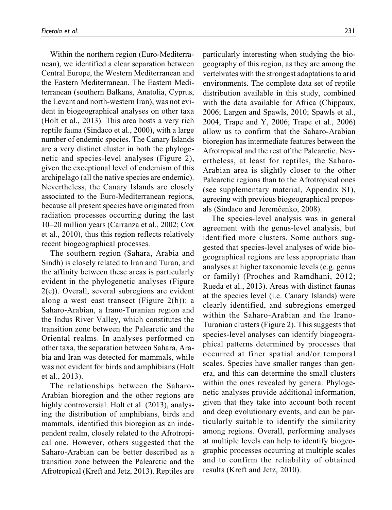Within the northern region (Euro-Mediterranean), we identified a clear separation between Central Europe, the Western Mediterranean and the Eastern Mediterranean. The Eastern Mediterranean (southern Balkans, Anatolia, Cyprus, the Levant and north-western Iran), was not evident in biogeographical analyses on other taxa (Holt et al., 2013). This area hosts a very rich reptile fauna (Sindaco et al., 2000), with a large number of endemic species. The Canary Islands are a very distinct cluster in both the phylogenetic and species-level analyses (Figure 2), given the exceptional level of endemism of this archipelago (all the native species are endemic). Nevertheless, the Canary Islands are closely associated to the Euro-Mediterranean regions, because all present species have originated from radiation processes occurring during the last 10–20 million years (Carranza et al., 2002; Cox et al., 2010), thus this region reflects relatively recent biogeographical processes.

The southern region (Sahara, Arabia and Sindh) is closely related to Iran and Turan, and the affinity between these areas is particularly evident in the phylogenetic analyses (Figure 2(c)). Overall, several subregions are evident along a west–east transect (Figure 2(b)): a Saharo-Arabian, a Irano-Turanian region and the Indus River Valley, which constitutes the transition zone between the Palearctic and the Oriental realms. In analyses performed on other taxa, the separation between Sahara, Arabia and Iran was detected for mammals, while was not evident for birds and amphibians (Holt et al., 2013).

The relationships between the Saharo-Arabian bioregion and the other regions are highly controversial. Holt et al. (2013), analysing the distribution of amphibians, birds and mammals, identified this bioregion as an independent realm, closely related to the Afrotropical one. However, others suggested that the Saharo-Arabian can be better described as a transition zone between the Palearctic and the Afrotropical (Kreft and Jetz, 2013). Reptiles are particularly interesting when studying the biogeography of this region, as they are among the vertebrates with the strongest adaptations to arid environments. The complete data set of reptile distribution available in this study, combined with the data available for Africa (Chippaux, 2006; Largen and Spawls, 2010; Spawls et al., 2004; Trape and Y, 2006; Trape et al., 2006) allow us to confirm that the Saharo-Arabian bioregion has intermediate features between the Afrotropical and the rest of the Palearctic. Nevertheless, at least for reptiles, the Saharo-Arabian area is slightly closer to the other Palearctic regions than to the Afrotropical ones (see supplementary material, Appendix S1), agreeing with previous biogeographical proposals (Sindaco and Jeremčenko, 2008).

The species-level analysis was in general agreement with the genus-level analysis, but identified more clusters. Some authors suggested that species-level analyses of wide biogeographical regions are less appropriate than analyses at higher taxonomic levels (e.g. genus or family) (Proches and Ramdhani, 2012; Rueda et al., 2013). Areas with distinct faunas at the species level (i.e. Canary Islands) were clearly identified, and subregions emerged within the Saharo-Arabian and the Irano-Turanian clusters (Figure 2). This suggests that species-level analyses can identify biogeographical patterns determined by processes that occurred at finer spatial and/or temporal scales. Species have smaller ranges than genera, and this can determine the small clusters within the ones revealed by genera. Phylogenetic analyses provide additional information, given that they take into account both recent and deep evolutionary events, and can be particularly suitable to identify the similarity among regions. Overall, performing analyses at multiple levels can help to identify biogeographic processes occurring at multiple scales and to confirm the reliability of obtained results (Kreft and Jetz, 2010).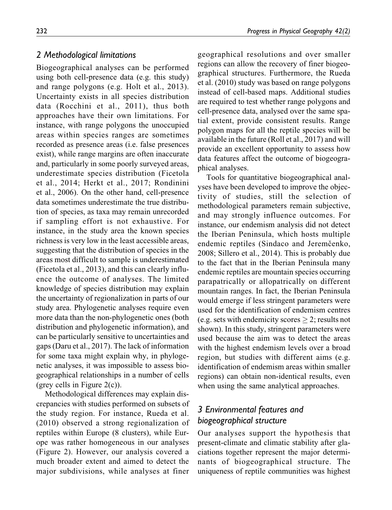### 2 Methodological limitations

Biogeographical analyses can be performed using both cell-presence data (e.g. this study) and range polygons (e.g. Holt et al., 2013). Uncertainty exists in all species distribution data (Rocchini et al., 2011), thus both approaches have their own limitations. For instance, with range polygons the unoccupied areas within species ranges are sometimes recorded as presence areas (i.e. false presences exist), while range margins are often inaccurate and, particularly in some poorly surveyed areas, underestimate species distribution (Ficetola et al., 2014; Herkt et al., 2017; Rondinini et al., 2006). On the other hand, cell-presence data sometimes underestimate the true distribution of species, as taxa may remain unrecorded if sampling effort is not exhaustive. For instance, in the study area the known species richness is very low in the least accessible areas, suggesting that the distribution of species in the areas most difficult to sample is underestimated (Ficetola et al., 2013), and this can clearly influence the outcome of analyses. The limited knowledge of species distribution may explain the uncertainty of regionalization in parts of our study area. Phylogenetic analyses require even more data than the non-phylogenetic ones (both distribution and phylogenetic information), and can be particularly sensitive to uncertainties and gaps (Daru et al., 2017). The lack of information for some taxa might explain why, in phylogenetic analyses, it was impossible to assess biogeographical relationships in a number of cells (grey cells in Figure 2(c)).

Methodological differences may explain discrepancies with studies performed on subsets of the study region. For instance, Rueda et al. (2010) observed a strong regionalization of reptiles within Europe (8 clusters), while Europe was rather homogeneous in our analyses (Figure 2). However, our analysis covered a much broader extent and aimed to detect the major subdivisions, while analyses at finer

geographical resolutions and over smaller regions can allow the recovery of finer biogeographical structures. Furthermore, the Rueda et al. (2010) study was based on range polygons instead of cell-based maps. Additional studies are required to test whether range polygons and cell-presence data, analysed over the same spatial extent, provide consistent results. Range polygon maps for all the reptile species will be available in the future (Roll et al., 2017) and will provide an excellent opportunity to assess how data features affect the outcome of biogeographical analyses.

Tools for quantitative biogeographical analyses have been developed to improve the objectivity of studies, still the selection of methodological parameters remain subjective, and may strongly influence outcomes. For instance, our endemism analysis did not detect the Iberian Peninsula, which hosts multiple endemic reptiles (Sindaco and Jeremčenko, 2008; Sillero et al., 2014). This is probably due to the fact that in the Iberian Peninsula many endemic reptiles are mountain species occurring parapatrically or allopatrically on different mountain ranges. In fact, the Iberian Peninsula would emerge if less stringent parameters were used for the identification of endemism centres (e.g. sets with endemicity scores  $\geq$  2; results not shown). In this study, stringent parameters were used because the aim was to detect the areas with the highest endemism levels over a broad region, but studies with different aims (e.g. identification of endemism areas within smaller regions) can obtain non-identical results, even when using the same analytical approaches.

# 3 Environmental features and biogeographical structure

Our analyses support the hypothesis that present-climate and climatic stability after glaciations together represent the major determinants of biogeographical structure. The uniqueness of reptile communities was highest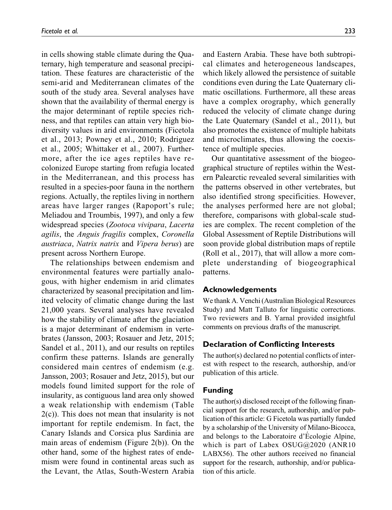in cells showing stable climate during the Quaternary, high temperature and seasonal precipitation. These features are characteristic of the semi-arid and Mediterranean climates of the south of the study area. Several analyses have shown that the availability of thermal energy is the major determinant of reptile species richness, and that reptiles can attain very high biodiversity values in arid environments (Ficetola et al., 2013; Powney et al., 2010; Rodriguez et al., 2005; Whittaker et al., 2007). Furthermore, after the ice ages reptiles have recolonized Europe starting from refugia located in the Mediterranean, and this process has resulted in a species-poor fauna in the northern regions. Actually, the reptiles living in northern areas have larger ranges (Rapoport's rule; Meliadou and Troumbis, 1997), and only a few widespread species (Zootoca vivipara, Lacerta agilis, the Anguis fragilis complex, Coronella austriaca, Natrix natrix and Vipera berus) are present across Northern Europe.

The relationships between endemism and environmental features were partially analogous, with higher endemism in arid climates characterized by seasonal precipitation and limited velocity of climatic change during the last 21,000 years. Several analyses have revealed how the stability of climate after the glaciation is a major determinant of endemism in vertebrates (Jansson, 2003; Rosauer and Jetz, 2015; Sandel et al., 2011), and our results on reptiles confirm these patterns. Islands are generally considered main centres of endemism (e.g. Jansson, 2003; Rosauer and Jetz, 2015), but our models found limited support for the role of insularity, as contiguous land area only showed a weak relationship with endemism (Table 2(c)). This does not mean that insularity is not important for reptile endemism. In fact, the Canary Islands and Corsica plus Sardinia are main areas of endemism (Figure 2(b)). On the other hand, some of the highest rates of endemism were found in continental areas such as the Levant, the Atlas, South-Western Arabia and Eastern Arabia. These have both subtropical climates and heterogeneous landscapes, which likely allowed the persistence of suitable conditions even during the Late Quaternary climatic oscillations. Furthermore, all these areas have a complex orography, which generally reduced the velocity of climate change during the Late Quaternary (Sandel et al., 2011), but also promotes the existence of multiple habitats and microclimates, thus allowing the coexistence of multiple species.

Our quantitative assessment of the biogeographical structure of reptiles within the Western Palearctic revealed several similarities with the patterns observed in other vertebrates, but also identified strong specificities. However, the analyses performed here are not global; therefore, comparisons with global-scale studies are complex. The recent completion of the Global Assessment of Reptile Distributions will soon provide global distribution maps of reptile (Roll et al., 2017), that will allow a more complete understanding of biogeographical patterns.

#### Acknowledgements

We thank A. Venchi (Australian Biological Resources Study) and Matt Talluto for linguistic corrections. Two reviewers and B. Yarnal provided insightful comments on previous drafts of the manuscript.

### Declaration of Conflicting Interests

The author(s) declared no potential conflicts of interest with respect to the research, authorship, and/or publication of this article.

#### Funding

The author(s) disclosed receipt of the following financial support for the research, authorship, and/or publication of this article: G Ficetola was partially funded by a scholarship of the University of Milano-Bicocca, and belongs to the Laboratoire d'Ecologie Alpine, which is part of Labex OSUG@2020 (ANR10) LABX56). The other authors received no financial support for the research, authorship, and/or publication of this article.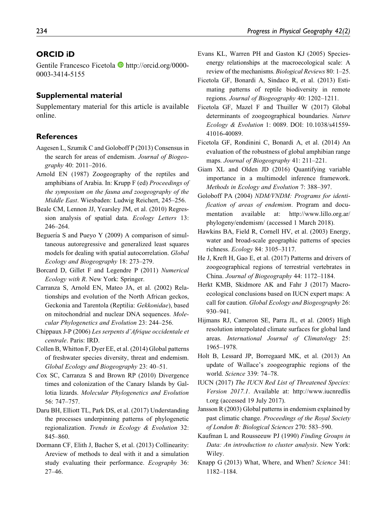#### ORCID iD

Gentile Francesco Ficetola D[http://orcid.org/0000-](http://orcid.org/0000-0003-3414-5155) [0003-3414-5155](http://orcid.org/0000-0003-3414-5155)

### Supplemental material

Supplementary material for this article is available online.

#### **References**

- Aagesen L, Szumik C and Goloboff P (2013) Consensus in the search for areas of endemism. Journal of Biogeography 40: 2011–2016.
- Arnold EN (1987) Zoogeography of the reptiles and amphibians of Arabia. In: Krupp F (ed) Proceedings of the symposium on the fauna and zoogeography of the Middle East. Wiesbaden: Ludwig Reichert, 245–256.
- Beale CM, Lennon JJ, Yearsley JM, et al. (2010) Regression analysis of spatial data. Ecology Letters 13: 246–264.
- Beguería S and Pueyo Y (2009) A comparison of simultaneous autoregressive and generalized least squares models for dealing with spatial autocorrelation. Global Ecology and Biogeography 18: 273–279.
- Borcard D, Gillet F and Legendre P (2011) Numerical Ecology with R. New York: Springer.
- Carranza S, Arnold EN, Mateo JA, et al. (2002) Relationships and evolution of the North African geckos, Geckonia and Tarentola (Reptilia: Gekkonidae), based on mitochondrial and nuclear DNA sequences. Molecular Phylogenetics and Evolution 23: 244–256.
- Chippaux J-P (2006) Les serpents d'Afrique occidentale et centrale. Paris: IRD.
- Collen B, Whitton F, Dyer EE, et al. (2014) Global patterns of freshwater species diversity, threat and endemism. Global Ecology and Biogeography 23: 40–51.
- Cox SC, Carranza S and Brown RP (2010) Divergence times and colonization of the Canary Islands by Gallotia lizards. Molecular Phylogenetics and Evolution 56: 747–757.
- Daru BH, Elliott TL, Park DS, et al. (2017) Understanding the processes underpinning patterns of phylogenetic regionalization. Trends in Ecology & Evolution 32: 845–860.
- Dormann CF, Elith J, Bacher S, et al. (2013) Collinearity: Areview of methods to deal with it and a simulation study evaluating their performance. Ecography 36: 27–46.
- Evans KL, Warren PH and Gaston KJ (2005) Speciesenergy relationships at the macroecological scale: A review of the mechanisms. Biological Reviews 80: 1–25.
- Ficetola GF, Bonardi A, Sindaco R, et al. (2013) Estimating patterns of reptile biodiversity in remote regions. Journal of Biogeography 40: 1202–1211.
- Ficetola GF, Mazel F and Thuiller W (2017) Global determinants of zoogeographical boundaries. Nature Ecology & Evolution 1: 0089. DOI: 10.1038/s41559- 41016-40089.
- Ficetola GF, Rondinini C, Bonardi A, et al. (2014) An evaluation of the robustness of global amphibian range maps. Journal of Biogeography 41: 211–221.
- Giam XL and Olden JD (2016) Quantifying variable importance in a multimodel inference framework. Methods in Ecology and Evolution 7: 388–397.
- Goloboff PA (2004) NDM/VNDM: Programs for identification of areas of endemism. Program and documentation available at: [http://www.lillo.org.ar/](http://www.lillo.org.ar/phylogeny/endemism/) [phylogeny/endemism/](http://www.lillo.org.ar/phylogeny/endemism/) (accessed 1 March 2018).
- Hawkins BA, Field R, Cornell HV, et al. (2003) Energy, water and broad-scale geographic patterns of species richness. Ecology 84: 3105–3117.
- He J, Kreft H, Gao E, et al. (2017) Patterns and drivers of zoogeographical regions of terrestrial vertebrates in China. Journal of Biogeography 44: 1172–1184.
- Herkt KMB, Skidmore AK and Fahr J (2017) Macroecological conclusions based on IUCN expert maps: A call for caution. Global Ecology and Biogeography 26: 930–941.
- Hijmans RJ, Cameron SE, Parra JL, et al. (2005) High resolution interpolated climate surfaces for global land areas. International Journal of Climatology 25: 1965–1978.
- Holt B, Lessard JP, Borregaard MK, et al. (2013) An update of Wallace's zoogeographic regions of the world. Science 339: 74–78.
- IUCN (2017) The IUCN Red List of Threatened Species: Version 2017.1. Available at: [http://www.iucnredlis](http://www.iucnredlist.org) [t.org](http://www.iucnredlist.org) (accessed 19 July 2017).
- Jansson R (2003) Global patterns in endemism explained by past climatic change. Proceedings of the Royal Society of London B: Biological Sciences 270: 583–590.
- Kaufman L and Rousseeuw PJ (1990) Finding Groups in Data: An introduction to cluster analysis. New York: Wiley.
- Knapp G (2013) What, Where, and When? Science 341: 1182–1184.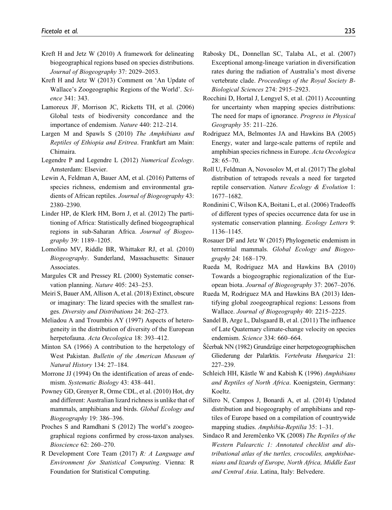- Kreft H and Jetz W (2010) A framework for delineating biogeographical regions based on species distributions. Journal of Biogeography 37: 2029–2053.
- Kreft H and Jetz W (2013) Comment on 'An Update of Wallace's Zoogeographic Regions of the World'. Science 341: 343.
- Lamoreux JF, Morrison JC, Ricketts TH, et al. (2006) Global tests of biodiversity concordance and the importance of endemism. Nature 440: 212–214.
- Largen M and Spawls S (2010) The Amphibians and Reptiles of Ethiopia and Eritrea. Frankfurt am Main: Chimaira.
- Legendre P and Legendre L (2012) Numerical Ecology. Amsterdam: Elsevier.
- Lewin A, Feldman A, Bauer AM, et al. (2016) Patterns of species richness, endemism and environmental gradients of African reptiles. Journal of Biogeography 43: 2380–2390.
- Linder HP, de Klerk HM, Born J, et al. (2012) The partitioning of Africa: Statistically defined biogeographical regions in sub-Saharan Africa. Journal of Biogeography 39: 1189–1205.
- Lomolino MV, Riddle BR, Whittaker RJ, et al. (2010) Biogeography. Sunderland, Massachusetts: Sinauer Associates.
- Margules CR and Pressey RL (2000) Systematic conservation planning. Nature 405: 243–253.
- Meiri S, Bauer AM, Allison A, et al. (2018) Extinct, obscure or imaginary: The lizard species with the smallest ranges. Diversity and Distributions 24: 262–273.
- Meliadou A and Troumbis AY (1997) Aspects of heterogeneity in the distribution of diversity of the European herpetofauna. Acta Oecologica 18: 393–412.
- Minton SA (1966) A contribution to the herpetology of West Pakistan. Bulletin of the American Museum of Natural History 134: 27–184.
- Morrone JJ (1994) On the identification of areas of endemism. Systematic Biology 43: 438–441.
- Powney GD, Grenyer R, Orme CDL, et al. (2010) Hot, dry and different: Australian lizard richness is unlike that of mammals, amphibians and birds. Global Ecology and Biogeography 19: 386–396.
- Proches S and Ramdhani S (2012) The world's zoogeographical regions confirmed by cross-taxon analyses. Bioscience 62: 260–270.
- R Development Core Team (2017) R: A Language and Environment for Statistical Computing. Vienna: R Foundation for Statistical Computing.
- Rabosky DL, Donnellan SC, Talaba AL, et al. (2007) Exceptional among-lineage variation in diversification rates during the radiation of Australia's most diverse vertebrate clade. Proceedings of the Royal Society B-Biological Sciences 274: 2915–2923.
- Rocchini D, Hortal J, Lengyel S, et al. (2011) Accounting for uncertainty when mapping species distributions: The need for maps of ignorance. Progress in Physical Geography 35: 211–226.
- Rodriguez MA, Belmontes JA and Hawkins BA (2005) Energy, water and large-scale patterns of reptile and amphibian species richness in Europe. Acta Oecologica 28: 65–70.
- Roll U, Feldman A, Novosolov M, et al. (2017) The global distribution of tetrapods reveals a need for targeted reptile conservation. Nature Ecology & Evolution 1: 1677–1682.
- Rondinini C, Wilson KA, Boitani L, et al. (2006) Tradeoffs of different types of species occurrence data for use in systematic conservation planning. Ecology Letters 9: 1136–1145.
- Rosauer DF and Jetz W (2015) Phylogenetic endemism in terrestrial mammals. Global Ecology and Biogeography 24: 168–179.
- Rueda M, Rodriguez MA and Hawkins BA (2010) Towards a biogeographic regionalization of the European biota. Journal of Biogeography 37: 2067–2076.
- Rueda M, Rodriguez MA and Hawkins BA (2013) Identifying global zoogeographical regions: Lessons from Wallace. Journal of Biogeography 40: 2215–2225.
- Sandel B, Arge L, Dalsgaard B, et al. (2011) The influence of Late Quaternary climate-change velocity on species endemism. Science 334: 660–664.
- Ščerbak NN (1982) Grundzüge einer herpetogeographischen Gliederung der Palarktis. Vertebrata Hungarica 21: 227–239.
- Schleich HH, Kästle W and Kabish K (1996) Amphibians and Reptiles of North Africa. Koenigstein, Germany: Koeltz.
- Sillero N, Campos J, Bonardi A, et al. (2014) Updated distribution and biogeography of amphibians and reptiles of Europe based on a compilation of countrywide mapping studies. Amphibia-Reptilia 35: 1–31.
- Sindaco R and Jeremčenko VK (2008) The Reptiles of the Western Palearctic 1: Annotated checklist and distributional atlas of the turtles, crocodiles, amphisbaenians and lizards of Europe, North Africa, Middle East and Central Asia. Latina, Italy: Belvedere.